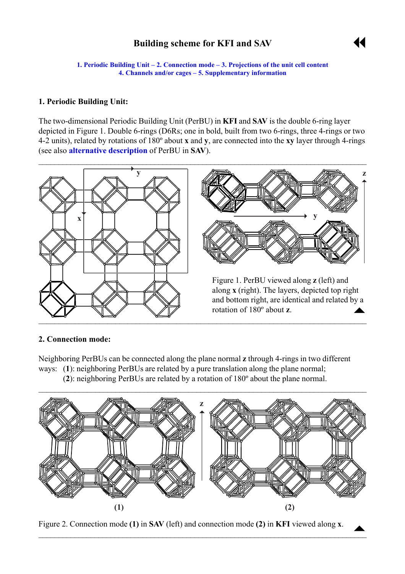# **Building scheme for KFI and SAV**



<span id="page-0-0"></span>**1. Periodic Building Unit – 2. Connection mode – [3. Projections of the unit cell](#page-1-0) content [4. Channels and/or cages](#page-1-0) – [5. Supplementary information](#page-3-0)** 

#### **1. Periodic Building Unit:**

The two-dimensional Periodic Building Unit (PerBU) in **KFI** and **SAV** is the double 6-ring layer depicted in Figure 1. Double 6-rings (D6Rs; one in bold, built from two 6-rings, three 4-rings or two 4-2 units), related by rotations of 180º about **x** and **y**, are connected into the **xy** layer through 4-rings (see also **[alternative description](#page-3-0)** of PerBU in **SAV**).



#### **2. Connection mode:**

Neighboring PerBUs can be connected along the plane normal **z** through 4-rings in two different ways: (**1**): neighboring PerBUs are related by a pure translation along the plane normal; (**2**): neighboring PerBUs are related by a rotation of 180º about the plane normal.



Figure 2. Connection mode **(1)** in SAV (left) and connection mode **(2)** in KFI viewed along **x**.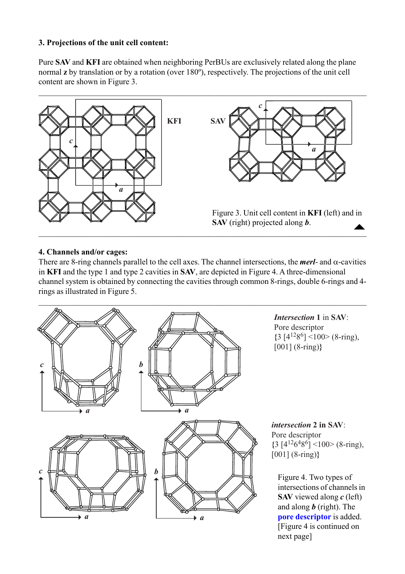## <span id="page-1-0"></span>**3. Projections of the unit cell content:**

Pure **SAV** and **KFI** are obtained when neighboring PerBUs are exclusively related along the plane normal **z** by translation or by a rotation (over 180º), respectively. The projections of the unit cell content are shown in Figure 3.



#### **4. Channels and/or cages:**

There are 8-ring channels parallel to the cell axes. The channel intersections, the *merl*- and α-cavities in **KFI** and the type 1 and type 2 cavities in **SAV**, are depicted in Figure 4. A three-dimensional channel system is obtained by connecting the cavities through common 8-rings, double 6-rings and 4 rings as illustrated in Figure 5.

 $\mathcal{L}_\mathcal{L} = \{ \mathcal{L}_\mathcal{L} = \{ \mathcal{L}_\mathcal{L} = \{ \mathcal{L}_\mathcal{L} = \{ \mathcal{L}_\mathcal{L} = \{ \mathcal{L}_\mathcal{L} = \{ \mathcal{L}_\mathcal{L} = \{ \mathcal{L}_\mathcal{L} = \{ \mathcal{L}_\mathcal{L} = \{ \mathcal{L}_\mathcal{L} = \{ \mathcal{L}_\mathcal{L} = \{ \mathcal{L}_\mathcal{L} = \{ \mathcal{L}_\mathcal{L} = \{ \mathcal{L}_\mathcal{L} = \{ \mathcal{L}_\mathcal{$ 



[Figure 4 is continued on next page]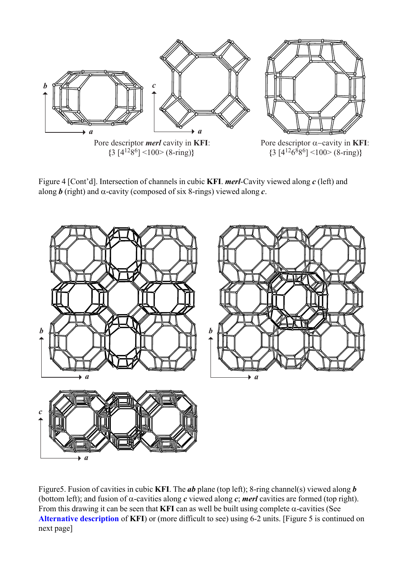

Figure 4 [Cont'd]. Intersection of channels in cubic **KFI**. *merl*-Cavity viewed along *c* (left) and along  $\boldsymbol{b}$  (right) and  $\alpha$ -cavity (composed of six 8-rings) viewed along  $\boldsymbol{c}$ .



Figure5. Fusion of cavities in cubic **KFI**. The *ab* plane (top left); 8-ring channel(s) viewed along *b* (bottom left); and fusion of  $\alpha$ -cavities along *c* viewed along *c*; **merl** cavities are formed (top right). From this drawing it can be seen that **KFI** can as well be built using complete  $\alpha$ -cavities (See **[Alternative description](#page-3-0)** of **KFI**) or (more difficult to see) using 6-2 units. [Figure 5 is continued on next page]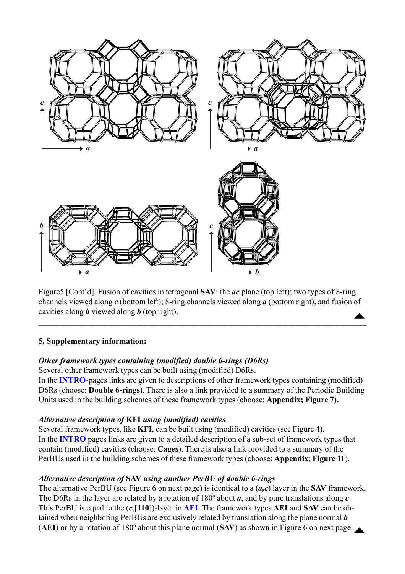<span id="page-3-0"></span>

Figure5 [Cont'd]. Fusion of cavities in tetragonal **SAV**: the *ac* plane (top left); two types of 8-ring channels viewed along *c* (bottom left); 8-ring channels viewed along *a* (bottom right), and fusion of cavities along *b* viewed along *b* (top right).  $\blacktriangle$ 

 $\mathcal{L}_\mathcal{L} = \mathcal{L}_\mathcal{L} = \mathcal{L}_\mathcal{L} = \mathcal{L}_\mathcal{L} = \mathcal{L}_\mathcal{L} = \mathcal{L}_\mathcal{L} = \mathcal{L}_\mathcal{L} = \mathcal{L}_\mathcal{L} = \mathcal{L}_\mathcal{L} = \mathcal{L}_\mathcal{L} = \mathcal{L}_\mathcal{L} = \mathcal{L}_\mathcal{L} = \mathcal{L}_\mathcal{L} = \mathcal{L}_\mathcal{L} = \mathcal{L}_\mathcal{L} = \mathcal{L}_\mathcal{L} = \mathcal{L}_\mathcal{L}$ 

## **5. Supplementary information:**

## *Other framework types containing (modified) double 6-rings (D6Rs)*

Several other framework types can be built using (modified) D6Rs.

In the **[INTRO](http://www.iza-structure.org/databases/ModelBuilding/Introduction.pdf)**-pages links are given to descriptions of other framework types containing (modified) D6Rs (choose: **Double 6-rings**). There is also a link provided to a summary of the Periodic Building Units used in the building schemes of these framework types (choose: **Appendix; Figure 7).**

# *Alternative description of* **KFI** *using (modified) cavities*

Several framework types, like **KFI**, can be built using (modified) cavities (see Figure 4). In the **[INTRO](http://www.iza-structure.org/databases/ModelBuilding/Introduction.pdf)** pages links are given to a detailed description of a sub-set of framework types that contain (modified) cavities (choose: **Cages**). There is also a link provided to a summary of the PerBUs used in the building schemes of these framework types (choose: **Appendix**; **Figure 11**).

# *Alternative description of* **SAV** *using another PerBU of double 6-rings*

The alternative PerBU (see Figure 6 on next page) is identical to a (*a,c*) layer in the **SAV** framework. The D6Rs in the layer are related by a rotation of 180º about *a*, and by pure translations along *c*. This PerBU is equal to the (*c*,[**110**])-layer in **[AEI](http://www.iza-structure.org/databases/ModelBuilding/AEI.pdf)**. The framework types **AEI** and **SAV** can be obtained when neighboring PerBUs are exclusively related by translation along the plane normal *b* (AEI) or by a rotation of  $180^\circ$  about this plane normal (SAV) as shown in Figure 6 on next page.